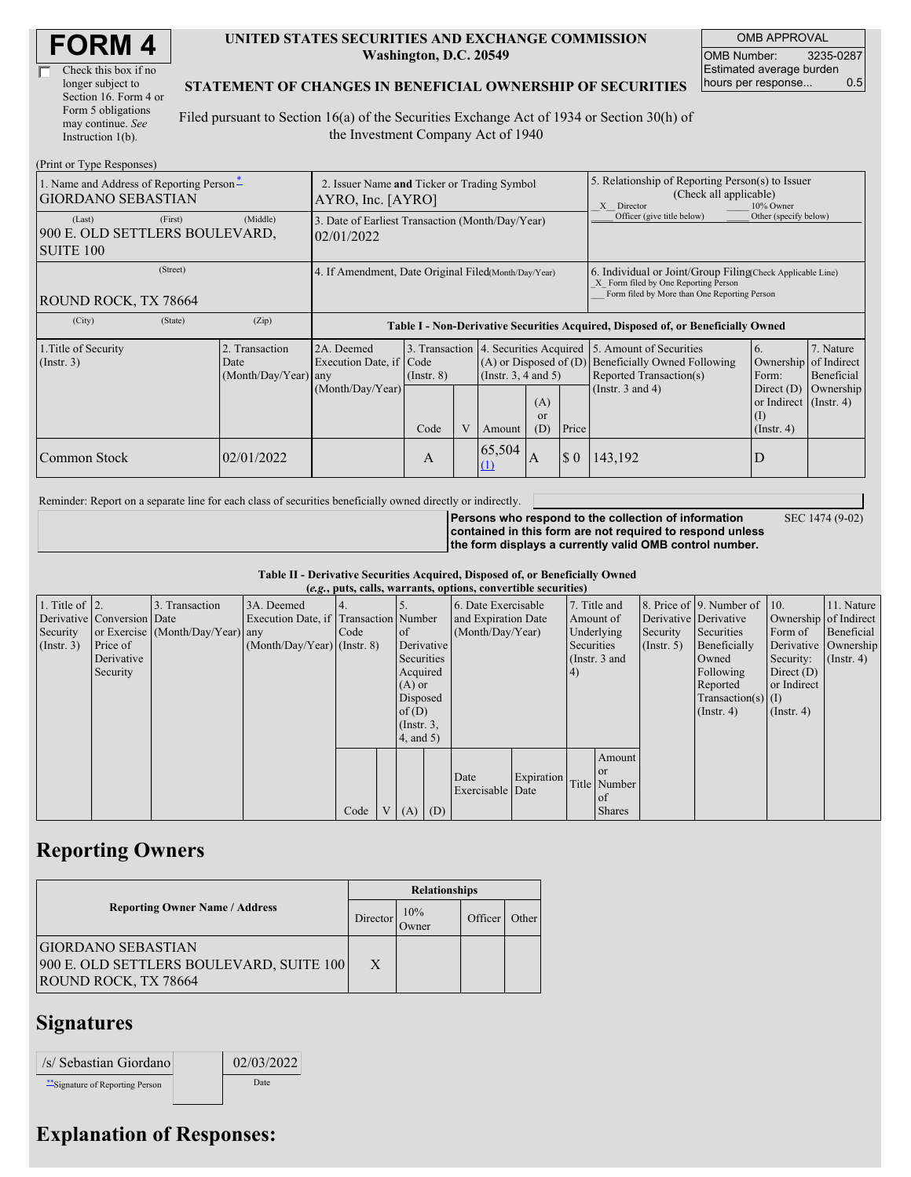| <b>FORM4</b> |
|--------------|
|--------------|

| Check this box if no  |
|-----------------------|
| longer subject to     |
| Section 16. Form 4 or |
| Form 5 obligations    |
| may continue. See     |
| Instruction 1(b).     |

#### **UNITED STATES SECURITIES AND EXCHANGE COMMISSION Washington, D.C. 20549**

OMB APPROVAL OMB Number: 3235-0287 Estimated average burden hours per response... 0.5

### **STATEMENT OF CHANGES IN BENEFICIAL OWNERSHIP OF SECURITIES**

Filed pursuant to Section 16(a) of the Securities Exchange Act of 1934 or Section 30(h) of the Investment Company Act of 1940

| (Print or Type Responses)                                             |                                                                  |                                                                |                  |  |                         |                                                                                                          |                                                                                                                                                    |                                                                                                             |                                                                                                      |                                      |
|-----------------------------------------------------------------------|------------------------------------------------------------------|----------------------------------------------------------------|------------------|--|-------------------------|----------------------------------------------------------------------------------------------------------|----------------------------------------------------------------------------------------------------------------------------------------------------|-------------------------------------------------------------------------------------------------------------|------------------------------------------------------------------------------------------------------|--------------------------------------|
| 1. Name and Address of Reporting Person-<br><b>GIORDANO SEBASTIAN</b> | 2. Issuer Name and Ticker or Trading Symbol<br>AYRO, Inc. [AYRO] |                                                                |                  |  |                         |                                                                                                          | 5. Relationship of Reporting Person(s) to Issuer<br>(Check all applicable)<br>10% Owner<br>X Director                                              |                                                                                                             |                                                                                                      |                                      |
| (First)<br>(Last)<br>900 E. OLD SETTLERS BOULEVARD,<br>SUITE 100      | (Middle)                                                         | 3. Date of Earliest Transaction (Month/Day/Year)<br>02/01/2022 |                  |  |                         |                                                                                                          |                                                                                                                                                    | Officer (give title below)                                                                                  | Other (specify below)                                                                                |                                      |
| (Street)<br>ROUND ROCK, TX 78664                                      | 4. If Amendment, Date Original Filed(Month/Day/Year)             |                                                                |                  |  |                         |                                                                                                          | 6. Individual or Joint/Group Filing Check Applicable Line)<br>X Form filed by One Reporting Person<br>Form filed by More than One Reporting Person |                                                                                                             |                                                                                                      |                                      |
| (City)<br>(State)                                                     | (Zip)                                                            |                                                                |                  |  |                         | Table I - Non-Derivative Securities Acquired, Disposed of, or Beneficially Owned                         |                                                                                                                                                    |                                                                                                             |                                                                                                      |                                      |
| 1. Title of Security<br>$($ Instr. 3 $)$                              | 2. Transaction<br>Date<br>(Month/Day/Year) any                   | 2A. Deemed<br>Execution Date, if Code<br>(Month/Day/Year)      | $($ Instr. 8 $)$ |  |                         | 3. Transaction 4. Securities Acquired<br>$(A)$ or Disposed of $(D)$<br>(Insert. 3, 4 and 5)<br>(A)<br>or |                                                                                                                                                    | 5. Amount of Securities<br>Beneficially Owned Following<br>Reported Transaction(s)<br>(Instr. $3$ and $4$ ) | 6.<br>Ownership of Indirect<br>Form:<br>Direct $(D)$<br>or Indirect $($ Instr. 4 $)$<br>$($ $\Gamma$ | 7. Nature<br>Beneficial<br>Ownership |
| Common Stock                                                          | 02/01/2022                                                       |                                                                | Code<br>A        |  | Amount<br>65,504<br>(1) | (D)<br>A                                                                                                 | Price<br>$\boldsymbol{\mathsf{S}}$ 0                                                                                                               | 143,192                                                                                                     | $($ Instr. 4 $)$<br>D                                                                                |                                      |

Reminder: Report on a separate line for each class of securities beneficially owned directly or indirectly.

**Persons who respond to the collection of information contained in this form are not required to respond unless the form displays a currently valid OMB control number.**

SEC 1474 (9-02)

**Table II - Derivative Securities Acquired, Disposed of, or Beneficially Owned**

| (e.g., puts, calls, warrants, options, convertible securities) |                            |                                  |                                       |        |                |                  |     |                          |            |               |               |              |                              |                       |               |         |            |
|----------------------------------------------------------------|----------------------------|----------------------------------|---------------------------------------|--------|----------------|------------------|-----|--------------------------|------------|---------------|---------------|--------------|------------------------------|-----------------------|---------------|---------|------------|
| 1. Title of $\vert$ 2.                                         |                            | 3. Transaction                   | 3A. Deemed                            |        |                |                  |     | 6. Date Exercisable      |            | 7. Title and  |               |              | 8. Price of 9. Number of 10. |                       | 11. Nature    |         |            |
|                                                                | Derivative Conversion Date |                                  | Execution Date, if Transaction Number |        |                |                  |     | and Expiration Date      |            | Amount of     |               |              | Derivative Derivative        | Ownership of Indirect |               |         |            |
| Security                                                       |                            | or Exercise (Month/Day/Year) any |                                       | I Code |                | <sub>of</sub>    |     | (Month/Day/Year)         |            |               |               | Underlying   |                              | Security              | Securities    | Form of | Beneficial |
| (Insert. 3)                                                    | Price of                   |                                  | $(Month/Day/Year)$ (Instr. 8)         |        |                | Derivative       |     |                          | Securities |               | (Insert, 5)   | Beneficially |                              | Derivative Ownership  |               |         |            |
|                                                                | Derivative                 |                                  |                                       |        |                | Securities       |     |                          |            | (Instr. 3 and |               |              | Owned                        | Security:             | $($ Instr. 4) |         |            |
|                                                                | Security                   |                                  |                                       |        |                | Acquired         |     |                          |            | (4)           |               |              | Following                    | Direct $(D)$          |               |         |            |
|                                                                |                            |                                  |                                       |        |                | $(A)$ or         |     |                          |            |               |               |              | Reported                     | or Indirect           |               |         |            |
|                                                                |                            |                                  |                                       |        |                | Disposed         |     |                          |            |               |               |              | $Transaction(s)$ (I)         |                       |               |         |            |
|                                                                |                            |                                  |                                       |        |                | of $(D)$         |     |                          |            |               |               |              | $($ Instr. 4 $)$             | $($ Instr. 4 $)$      |               |         |            |
|                                                                |                            |                                  |                                       |        |                | $($ Instr. $3$ , |     |                          |            |               |               |              |                              |                       |               |         |            |
|                                                                |                            |                                  |                                       |        |                | $4$ , and 5)     |     |                          |            |               |               |              |                              |                       |               |         |            |
|                                                                |                            |                                  |                                       |        |                |                  |     |                          |            |               | Amount        |              |                              |                       |               |         |            |
|                                                                |                            |                                  |                                       |        |                |                  |     |                          |            |               | <b>or</b>     |              |                              |                       |               |         |            |
|                                                                |                            |                                  |                                       |        |                |                  |     | Date<br>Exercisable Date | Expiration |               | Title Number  |              |                              |                       |               |         |            |
|                                                                |                            |                                  |                                       |        |                |                  |     |                          |            |               | of            |              |                              |                       |               |         |            |
|                                                                |                            |                                  |                                       | Code   | V <sub>1</sub> | (A)              | (D) |                          |            |               | <b>Shares</b> |              |                              |                       |               |         |            |

## **Reporting Owners**

|                                                                                        | <b>Relationships</b> |              |         |       |  |  |  |
|----------------------------------------------------------------------------------------|----------------------|--------------|---------|-------|--|--|--|
| <b>Reporting Owner Name / Address</b>                                                  | Director             | 10%<br>Owner | Officer | Other |  |  |  |
| GIORDANO SEBASTIAN<br>900 E. OLD SETTLERS BOULEVARD, SUITE 100<br>ROUND ROCK, TX 78664 | X                    |              |         |       |  |  |  |

### **Signatures**

| /s/ Sebastian Giordano           | 02/03/2022 |
|----------------------------------|------------|
| ** Signature of Reporting Person | Date       |

# **Explanation of Responses:**